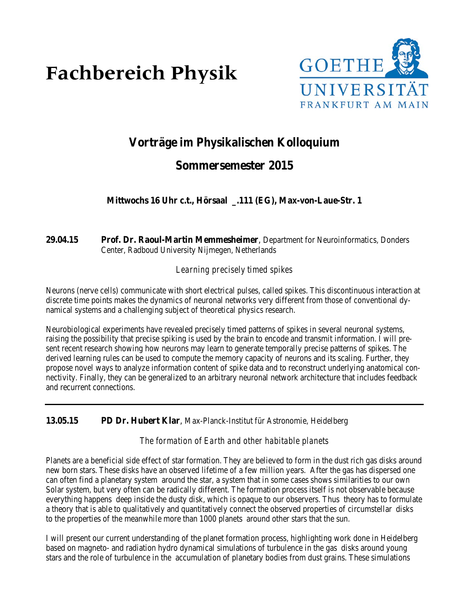# **Fachbereich Physik**



# **Vorträge im Physikalischen Kolloquium**

# **Sommersemester 2015**

**Mittwochs 16 Uhr c.t., Hörsaal \_.111 (EG), Max-von-Laue-Str. 1**

# **29.04.15 Prof. Dr. Raoul-Martin Memmesheimer**, Department for Neuroinformatics, Donders Center, Radboud University Nijmegen, Netherlands

# *Learning precisely timed spikes*

Neurons (nerve cells) communicate with short electrical pulses, called spikes. This discontinuous interaction at discrete time points makes the dynamics of neuronal networks very different from those of conventional dynamical systems and a challenging subject of theoretical physics research.

Neurobiological experiments have revealed precisely timed patterns of spikes in several neuronal systems, raising the possibility that precise spiking is used by the brain to encode and transmit information. I will present recent research showing how neurons may learn to generate temporally precise patterns of spikes. The derived learning rules can be used to compute the memory capacity of neurons and its scaling. Further, they propose novel ways to analyze information content of spike data and to reconstruct underlying anatomical connectivity. Finally, they can be generalized to an arbitrary neuronal network architecture that includes feedback and recurrent connections.

# **13.05.15 PD Dr. Hubert Klar**, Max-Planck-Institut für Astronomie, Heidelberg

*The formation of Earth and other habitable planets*

Planets are a beneficial side effect of star formation. They are believed to form in the dust rich gas disks around new born stars. These disks have an observed lifetime of a few million years. After the gas has dispersed one can often find a planetary system around the star, a system that in some cases shows similarities to our own Solar system, but very often can be radically different. The formation process itself is not observable because everything happens deep inside the dusty disk, which is opaque to our observers. Thus theory has to formulate a theory that is able to qualitatively and quantitatively connect the observed properties of circumstellar disks to the properties of the meanwhile more than 1000 planets around other stars that the sun.

I will present our current understanding of the planet formation process, highlighting work done in Heidelberg based on magneto- and radiation hydro dynamical simulations of turbulence in the gas disks around young stars and the role of turbulence in the accumulation of planetary bodies from dust grains. These simulations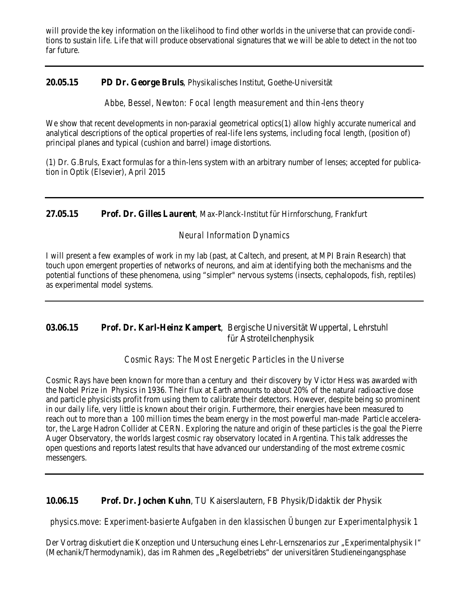will provide the key information on the likelihood to find other worlds in the universe that can provide conditions to sustain life. Life that will produce observational signatures that we will be able to detect in the not too far future.

# **20.05.15 PD Dr. George Bruls**, Physikalisches Institut, Goethe-Universität

*Abbe, Bessel, Newton: Focal length measurement and thin*‐*lens theory*

We show that recent developments in non-paraxial geometrical optics(1) allow highly accurate numerical and analytical descriptions of the optical properties of real-life lens systems, including focal length, (position of) principal planes and typical (cushion and barrel) image distortions.

(1) Dr. G.Bruls, Exact formulas for a thin-lens system with an arbitrary number of lenses; accepted for publication in Optik (Elsevier), April 2015

**27.05.15 Prof. Dr. Gilles Laurent**, Max-Planck-Institut für Hirnforschung, Frankfurt

# *Neural Information Dynamics*

I will present a few examples of work in my lab (past, at Caltech, and present, at MPI Brain Research) that touch upon emergent properties of networks of neurons, and aim at identifying both the mechanisms and the potential functions of these phenomena, using "simpler" nervous systems (insects, cephalopods, fish, reptiles) as experimental model systems.

# **03.06.15 Prof. Dr. Karl-Heinz Kampert**, Bergische Universität Wuppertal, Lehrstuhl für Astroteilchenphysik

*Cosmic Rays: The Most Energetic Particles in the Universe*

Cosmic Rays have been known for more than a century and their discovery by Victor Hess was awarded with the Nobel Prize in Physics in 1936. Their flux at Earth amounts to about 20% of the natural radioactive dose and particle physicists profit from using them to calibrate their detectors. However, despite being so prominent in our daily life, very little is known about their origin. Furthermore, their energies have been measured to reach out to more than a 100 million times the beam energy in the most powerful man-made Particle accelerator, the Large Hadron Collider at CERN. Exploring the nature and origin of these particles is the goal the Pierre Auger Observatory, the worlds largest cosmic ray observatory located in Argentina. This talk addresses the open questions and reports latest results that have advanced our understanding of the most extreme cosmic messengers.

# **10.06.15 Prof. Dr. Jochen Kuhn**, TU Kaiserslautern, FB Physik/Didaktik der Physik

*physics.move: Experiment-basierte Aufgaben in den klassischen Übungen zur Experimentalphysik 1*

Der Vortrag diskutiert die Konzeption und Untersuchung eines Lehr-Lernszenarios zur "Experimentalphysik I" (Mechanik/Thermodynamik), das im Rahmen des "Regelbetriebs" der universitären Studieneingangsphase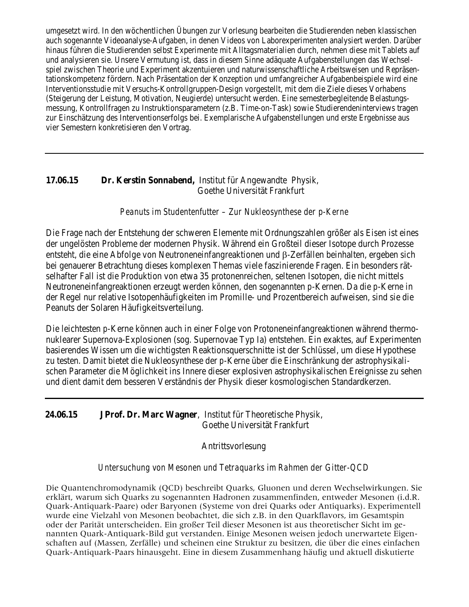umgesetzt wird. In den wöchentlichen Übungen zur Vorlesung bearbeiten die Studierenden neben klassischen auch sogenannte Videoanalyse-Aufgaben, in denen Videos von Laborexperimenten analysiert werden. Darüber hinaus führen die Studierenden selbst Experimente mit Alltagsmaterialien durch, nehmen diese mit Tablets auf und analysieren sie. Unsere Vermutung ist, dass in diesem Sinne adäquate Aufgabenstellungen das Wechselspiel zwischen Theorie und Experiment akzentuieren und naturwissenschaftliche Arbeitsweisen und Repräsentationskompetenz fördern. Nach Präsentation der Konzeption und umfangreicher Aufgabenbeispiele wird eine Interventionsstudie mit Versuchs-Kontrollgruppen-Design vorgestellt, mit dem die Ziele dieses Vorhabens (Steigerung der Leistung, Motivation, Neugierde) untersucht werden. Eine semesterbegleitende Belastungsmessung, Kontrollfragen zu Instruktionsparametern (z.B. Time-on-Task) sowie Studierendeninterviews tragen zur Einschätzung des Interventionserfolgs bei. Exemplarische Aufgabenstellungen und erste Ergebnisse aus vier Semestern konkretisieren den Vortrag.

#### **17.06.15 Dr. Kerstin Sonnabend,** Institut für Angewandte Physik, Goethe Universität Frankfurt

#### *Peanuts im Studentenfutter – Zur Nukleosynthese der p-Kerne*

Die Frage nach der Entstehung der schweren Elemente mit Ordnungszahlen größer als Eisen ist eines der ungelösten Probleme der modernen Physik. Während ein Großteil dieser Isotope durch Prozesse entsteht, die eine Abfolge von Neutroneneinfangreaktionen und β-Zerfällen beinhalten, ergeben sich bei genauerer Betrachtung dieses komplexen Themas viele faszinierende Fragen. Ein besonders rätselhafter Fall ist die Produktion von etwa 35 protonenreichen, seltenen Isotopen, die nicht mittels Neutroneneinfangreaktionen erzeugt werden können, den sogenannten *p*-Kernen. Da die *p*-Kerne in der Regel nur relative Isotopenhäufigkeiten im Promille- und Prozentbereich aufweisen, sind sie die Peanuts der Solaren Häufigkeitsverteilung.

Die leichtesten *p*-Kerne können auch in einer Folge von Protoneneinfangreaktionen während thermonuklearer Supernova-Explosionen (sog. Supernovae Typ Ia) entstehen. Ein exaktes, auf Experimenten basierendes Wissen um die wichtigsten Reaktionsquerschnitte ist der Schlüssel, um diese Hypothese zu testen. Damit bietet die Nukleosynthese der *p*-Kerne über die Einschränkung der astrophysikalischen Parameter die Möglichkeit ins Innere dieser explosiven astrophysikalischen Ereignisse zu sehen und dient damit dem besseren Verständnis der Physik dieser kosmologischen Standardkerzen.

#### **24.06.15 JProf. Dr. Marc Wagner**, Institut für Theoretische Physik, Goethe Universität Frankfurt

#### Antrittsvorlesung

#### *Untersuchung von Mesonen und Tetraquarks im Rahmen der Gitter-QCD*

Die Quantenchromodynamik (QCD) beschreibt Quarks, Gluonen und deren Wechselwirkungen. Sie erklärt, warum sich Quarks zu sogenannten Hadronen zusammenfinden, entweder Mesonen (i.d.R. Quark-Antiquark-Paare) oder Baryonen (Systeme von drei Quarks oder Antiquarks). Experimentell wurde eine Vielzahl von Mesonen beobachtet, die sich z.B. in den Quarkflavors, im Gesamtspin oder der Parität unterscheiden. Ein großer Teil dieser Mesonen ist aus theoretischer Sicht im genannten Quark-Antiquark-Bild gut verstanden. Einige Mesonen weisen jedoch unerwartete Eigenschaften auf (Massen, Zerfälle) und scheinen eine Struktur zu besitzen, die über die eines einfachen Quark-Antiquark-Paars hinausgeht. Eine in diesem Zusammenhang häufig und aktuell diskutierte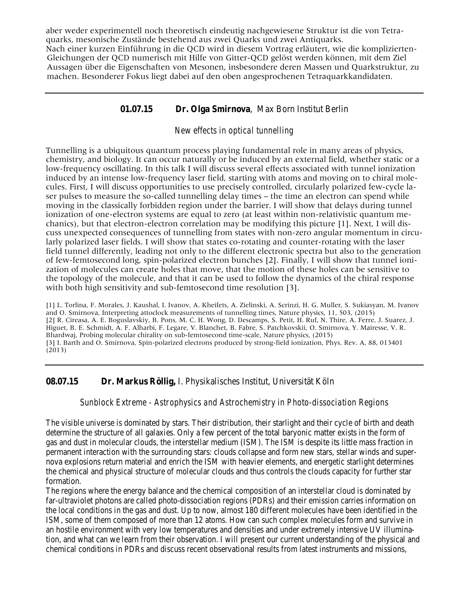aber weder experimentell noch theoretisch eindeutig nachgewiesene Struktur ist die von Tetraquarks, mesonische Zustände bestehend aus zwei Quarks und zwei Antiquarks. Nach einer kurzen Einführung in die QCD wird in diesem Vortrag erläutert, wie die komplizierten-Gleichungen der QCD numerisch mit Hilfe von Gitter-QCD gelöst werden können, mit dem Ziel Aussagen über die Eigenschaften von Mesonen, insbesondere deren Massen und Quarkstruktur, zu machen. Besonderer Fokus liegt dabei auf den oben angesprochenen Tetraquarkkandidaten.

# **01.07.15 Dr. Olga Smirnova**, Max Born Institut Berlin

#### *New effects in optical tunnelling*

Tunnelling is a ubiquitous quantum process playing fundamental role in many areas of physics, chemistry, and biology. It can occur naturally or be induced by an external field, whether static or a low-frequency oscillating. In this talk I will discuss several effects associated with tunnel ionization induced by an intense low-frequency laser field, starting with atoms and moving on to chiral molecules. First, I will discuss opportunities to use precisely controlled, circularly polarized few-cycle laser pulses to measure the so-called tunnelling delay times – the time an electron can spend while moving in the classically forbidden region under the barrier. I will show that delays during tunnel ionization of one-electron systems are equal to zero (at least within non-relativistic quantum mechanics), but that electron-electron correlation may be modifying this picture [1]. Next, I will discuss unexpected consequences of tunnelling from states with non-zero angular momentum in circularly polarized laser fields. I will show that states co-rotating and counter-rotating with the laser field tunnel differently, leading not only to the different electronic spectra but also to the generation of few-femtosecond long, spin-polarized electron bunches [2]. Finally, I will show that tunnel ionization of molecules can create holes that move, that the motion of these holes can be sensitive to the topology of the molecule, and that it can be used to follow the dynamics of the chiral response with both high sensitivity and sub-femtosecond time resolution [3].

[1] L. Torlina, F. Morales, J. Kaushal, I. Ivanov, A. Kheifets, A. Zielinski, A. Scrinzi, H. G. Muller, S. Sukiasyan, M. Ivanov and O. Smirnova, Interpreting attoclock measurements of tunnelling times, Nature physics, 11, 503, (2015) [2] R. Cireasa, A. E. Boguslavskiy, B. Pons, M. C. H. Wong, D. Descamps, S. Petit, H. Ruf, N. Thire, A. Ferre, J. Suarez, J. Higuet, B. E. Schmidt, A. F. Alharbi, F. Legare, V. Blanchet, B. Fabre, S. Patchkovskii, O. Smirnova, Y. Mairesse, V. R. Bhardwaj, Probing molecular chirality on sub-femtosecond time-scale, Nature physics, (2015) [3] I. Barth and O. Smirnova, Spin-polarized electrons produced by strong-field ionization, Phys. Rev. A, 88, 013401 (2013)

#### **08.07.15 Dr. Markus Röllig,** I. Physikalisches Institut, Universität Köln

#### *Sunblock Extreme - Astrophysics and Astrochemistry in Photo-dissociation Regions*

The visible universe is dominated by stars. Their distribution, their starlight and their cycle of birth and death determine the structure of all galaxies. Only a few percent of the total baryonic matter exists in the form of gas and dust in molecular clouds, the interstellar medium (ISM). The ISM is despite its little mass fraction in permanent interaction with the surrounding stars: clouds collapse and form new stars, stellar winds and supernova explosions return material and enrich the ISM with heavier elements, and energetic starlight determines the chemical and physical structure of molecular clouds and thus controls the clouds capacity for further star formation.

The regions where the energy balance and the chemical composition of an interstellar cloud is dominated by far-ultraviolet photons are called photo-dissociation regions (PDRs) and their emission carries information on the local conditions in the gas and dust. Up to now, almost 180 different molecules have been identified in the ISM, some of them composed of more than 12 atoms. How can such complex molecules form and survive in an hostile environment with very low temperatures and densities and under extremely intensive UV illumination, and what can we learn from their observation. I will present our current understanding of the physical and chemical conditions in PDRs and discuss recent observational results from latest instruments and missions,